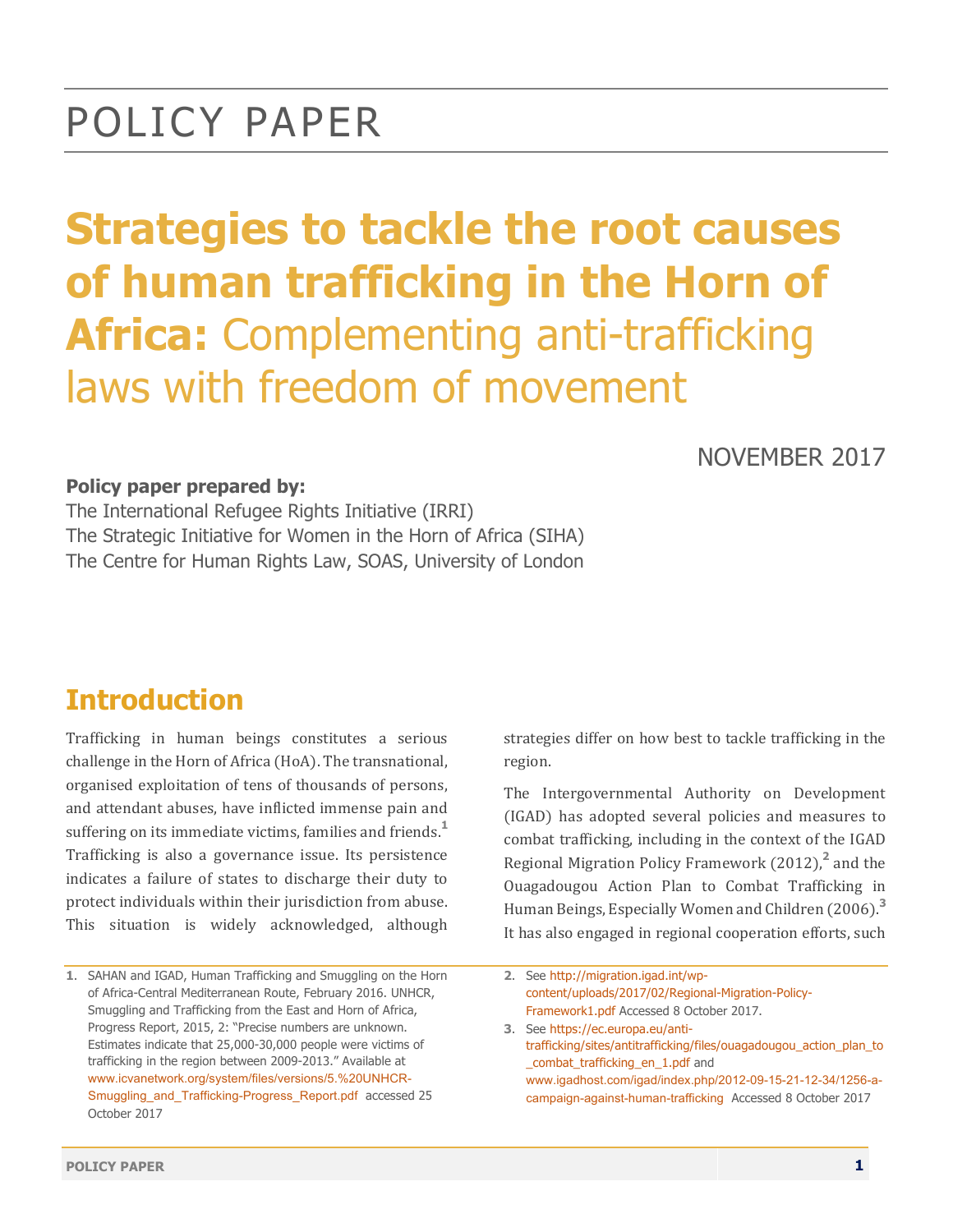# POLICY PAPER

# **Strategies to tackle the root causes of human trafficking in the Horn of Africa:** Complementing anti-trafficking laws with freedom of movement

NOVEMBER 2017

#### **Policy paper prepared by:**

The International Refugee Rights Initiative (IRRI) The Strategic Initiative for Women in the Horn of Africa (SIHA) The Centre for Human Rights Law, SOAS, University of London

### **Introduction**

Trafficking in human beings constitutes a serious challenge in the Horn of Africa (HoA). The transnational, organised exploitation of tens of thousands of persons, and attendant abuses, have inflicted immense pain and suffering on its immediate victims, families and friends.<sup>1</sup> Trafficking is also a governance issue. Its persistence indicates a failure of states to discharge their duty to protect individuals within their jurisdiction from abuse. This situation is widely acknowledged, although

**1**. SAHAN and IGAD, Human Trafficking and Smuggling on the Horn of Africa-Central Mediterranean Route, February 2016. UNHCR, Smuggling and Trafficking from the East and Horn of Africa, Progress Report, 2015, 2: "Precise numbers are unknown. Estimates indicate that 25,000-30,000 people were victims of trafficking in the region between 2009-2013." Available at www.icvanetwork.org/system/files/versions/5.%20UNHCR-Smuggling\_and\_Trafficking-Progress\_Report.pdf accessed 25 October 2017

strategies differ on how best to tackle trafficking in the region. 

The Intergovernmental Authority on Development (IGAD) has adopted several policies and measures to combat trafficking, including in the context of the IGAD Regional Migration Policy Framework  $(2012)$ ,<sup>2</sup> and the Ouagadougou Action Plan to Combat Trafficking in Human Beings, Especially Women and Children (2006).<sup>3</sup> It has also engaged in regional cooperation efforts, such

- **2**. See http://migration.igad.int/wpcontent/uploads/2017/02/Regional-Migration-Policy-Framework1.pdf Accessed 8 October 2017.
- **3**. See https://ec.europa.eu/antitrafficking/sites/antitrafficking/files/ouagadougou\_action\_plan\_to \_combat\_trafficking\_en\_1.pdf and www.igadhost.com/igad/index.php/2012-09-15-21-12-34/1256-acampaign-against-human-trafficking Accessed 8 October 2017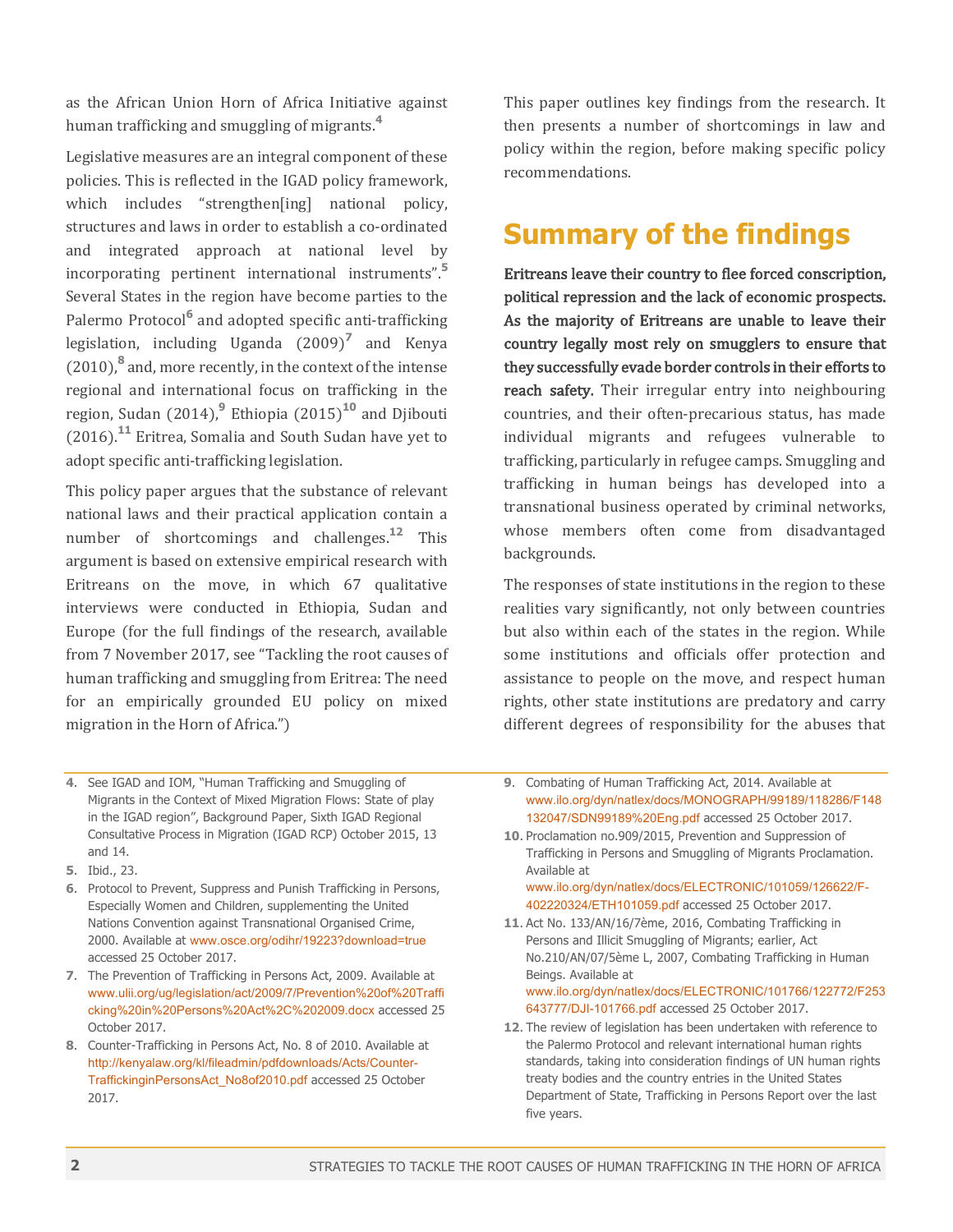as the African Union Horn of Africa Initiative against human trafficking and smuggling of migrants.<sup>4</sup>

Legislative measures are an integral component of these policies. This is reflected in the IGAD policy framework, which includes "strengthen[ing] national policy, structures and laws in order to establish a co-ordinated and integrated approach at national level by incorporating pertinent international instruments".<sup>5</sup> Several States in the region have become parties to the Palermo Protocol<sup>6</sup> and adopted specific anti-trafficking legislation, including Uganda  $(2009)^7$  and Kenya  $(2010)$ <sup>8</sup> and, more recently, in the context of the intense regional and international focus on trafficking in the region, Sudan (2014),<sup>9</sup> Ethiopia (2015)<sup>10</sup> and Djibouti  $(2016).$ <sup>11</sup> Eritrea, Somalia and South Sudan have yet to adopt specific anti-trafficking legislation.

This policy paper argues that the substance of relevant national laws and their practical application contain a number of shortcomings and challenges.<sup>12</sup> This argument is based on extensive empirical research with Eritreans on the move, in which 67 qualitative interviews were conducted in Ethiopia, Sudan and Europe (for the full findings of the research, available from 7 November 2017, see "Tackling the root causes of human trafficking and smuggling from Eritrea: The need for an empirically grounded EU policy on mixed migration in the Horn of Africa.")

This paper outlines key findings from the research. It then presents a number of shortcomings in law and policy within the region, before making specific policy recommendations.

## **Summary of the findings**

Eritreans leave their country to flee forced conscription, political repression and the lack of economic prospects. As the majority of Eritreans are unable to leave their country legally most rely on smugglers to ensure that they successfully evade border controls in their efforts to reach safety. Their irregular entry into neighbouring countries, and their often-precarious status, has made individual migrants and refugees vulnerable to trafficking, particularly in refugee camps. Smuggling and trafficking in human beings has developed into a transnational business operated by criminal networks, whose members often come from disadvantaged backgrounds.

The responses of state institutions in the region to these realities vary significantly, not only between countries but also within each of the states in the region. While some institutions and officials offer protection and assistance to people on the move, and respect human rights, other state institutions are predatory and carry different degrees of responsibility for the abuses that

- **4**. See IGAD and IOM, "Human Trafficking and Smuggling of Migrants in the Context of Mixed Migration Flows: State of play in the IGAD region", Background Paper, Sixth IGAD Regional Consultative Process in Migration (IGAD RCP) October 2015, 13 and 14.
- **5**. Ibid., 23.
- **6**. Protocol to Prevent, Suppress and Punish Trafficking in Persons, Especially Women and Children, supplementing the United Nations Convention against Transnational Organised Crime, 2000. Available at www.osce.org/odihr/19223?download=true accessed 25 October 2017.
- **7**. The Prevention of Trafficking in Persons Act, 2009. Available at www.ulii.org/ug/legislation/act/2009/7/Prevention%20of%20Traffi cking%20in%20Persons%20Act%2C%202009.docx accessed 25 October 2017.
- **8**. Counter-Trafficking in Persons Act, No. 8 of 2010. Available at http://kenyalaw.org/kl/fileadmin/pdfdownloads/Acts/Counter-TraffickinginPersonsAct\_No8of2010.pdf accessed 25 October 2017.
- **9**. Combating of Human Trafficking Act, 2014. Available at www.ilo.org/dyn/natlex/docs/MONOGRAPH/99189/118286/F148 132047/SDN99189%20Eng.pdf accessed 25 October 2017.
- **10**. Proclamation no.909/2015, Prevention and Suppression of Trafficking in Persons and Smuggling of Migrants Proclamation. Available at www.ilo.org/dyn/natlex/docs/ELECTRONIC/101059/126622/F-402220324/ETH101059.pdf accessed 25 October 2017.
- **11**. Act No. 133/AN/16/7ème, 2016, Combating Trafficking in Persons and Illicit Smuggling of Migrants; earlier, Act No.210/AN/07/5ème L, 2007, Combating Trafficking in Human Beings. Available at www.ilo.org/dyn/natlex/docs/ELECTRONIC/101766/122772/F253 643777/DJI-101766.pdf accessed 25 October 2017.
- **12**. The review of legislation has been undertaken with reference to the Palermo Protocol and relevant international human rights standards, taking into consideration findings of UN human rights treaty bodies and the country entries in the United States Department of State, Trafficking in Persons Report over the last five years.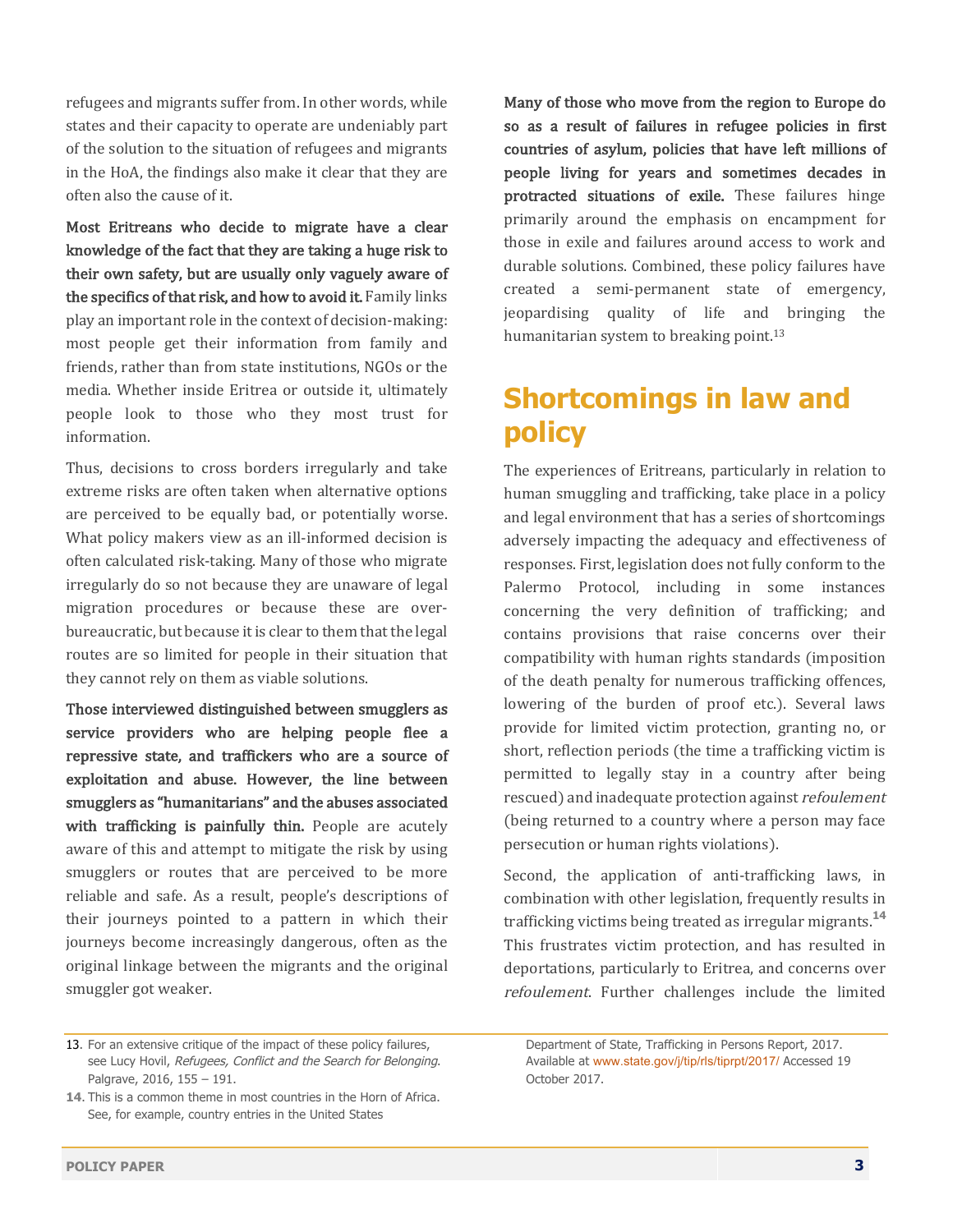refugees and migrants suffer from. In other words, while states and their capacity to operate are undeniably part of the solution to the situation of refugees and migrants in the HoA, the findings also make it clear that they are often also the cause of it.

Most Eritreans who decide to migrate have a clear knowledge of the fact that they are taking a huge risk to their own safety, but are usually only vaguely aware of the specifics of that risk, and how to avoid it. Family links play an important role in the context of decision-making: most people get their information from family and friends, rather than from state institutions, NGOs or the media. Whether inside Eritrea or outside it, ultimately people look to those who they most trust for information.

Thus, decisions to cross borders irregularly and take extreme risks are often taken when alternative options are perceived to be equally bad, or potentially worse. What policy makers view as an ill-informed decision is often calculated risk-taking. Many of those who migrate irregularly do so not because they are unaware of legal migration procedures or because these are overbureaucratic, but because it is clear to them that the legal routes are so limited for people in their situation that they cannot rely on them as viable solutions.

Those interviewed distinguished between smugglers as service providers who are helping people flee a repressive state, and traffickers who are a source of exploitation and abuse. However, the line between smugglers as "humanitarians" and the abuses associated with trafficking is painfully thin. People are acutely aware of this and attempt to mitigate the risk by using smugglers or routes that are perceived to be more reliable and safe. As a result, people's descriptions of their journeys pointed to a pattern in which their journeys become increasingly dangerous, often as the original linkage between the migrants and the original smuggler got weaker.

Many of those who move from the region to Europe do so as a result of failures in refugee policies in first countries of asylum, policies that have left millions of people living for years and sometimes decades in protracted situations of exile. These failures hinge primarily around the emphasis on encampment for those in exile and failures around access to work and durable solutions. Combined, these policy failures have created a semi-permanent state of emergency, jeopardising quality of life and bringing the humanitarian system to breaking point.<sup>13</sup>

## **Shortcomings in law and policy**

The experiences of Eritreans, particularly in relation to human smuggling and trafficking, take place in a policy and legal environment that has a series of shortcomings adversely impacting the adequacy and effectiveness of responses. First, legislation does not fully conform to the Palermo Protocol, including in some instances concerning the very definition of trafficking; and contains provisions that raise concerns over their compatibility with human rights standards (imposition of the death penalty for numerous trafficking offences, lowering of the burden of proof etc.). Several laws provide for limited victim protection, granting no, or short, reflection periods (the time a trafficking victim is permitted to legally stay in a country after being rescued) and inadequate protection against *refoulement* (being returned to a country where a person may face persecution or human rights violations).

Second, the application of anti-trafficking laws, in combination with other legislation, frequently results in trafficking victims being treated as irregular migrants.<sup>14</sup> This frustrates victim protection, and has resulted in deportations, particularly to Eritrea, and concerns over refoulement. Further challenges include the limited

Department of State, Trafficking in Persons Report, 2017. Available at www.state.gov/j/tip/rls/tiprpt/2017/ Accessed 19 October 2017.

<sup>13.</sup> For an extensive critique of the impact of these policy failures, see Lucy Hovil, Refugees, Conflict and the Search for Belonging. Palgrave, 2016, 155 – 191.

**<sup>14</sup>**. This is a common theme in most countries in the Horn of Africa. See, for example, country entries in the United States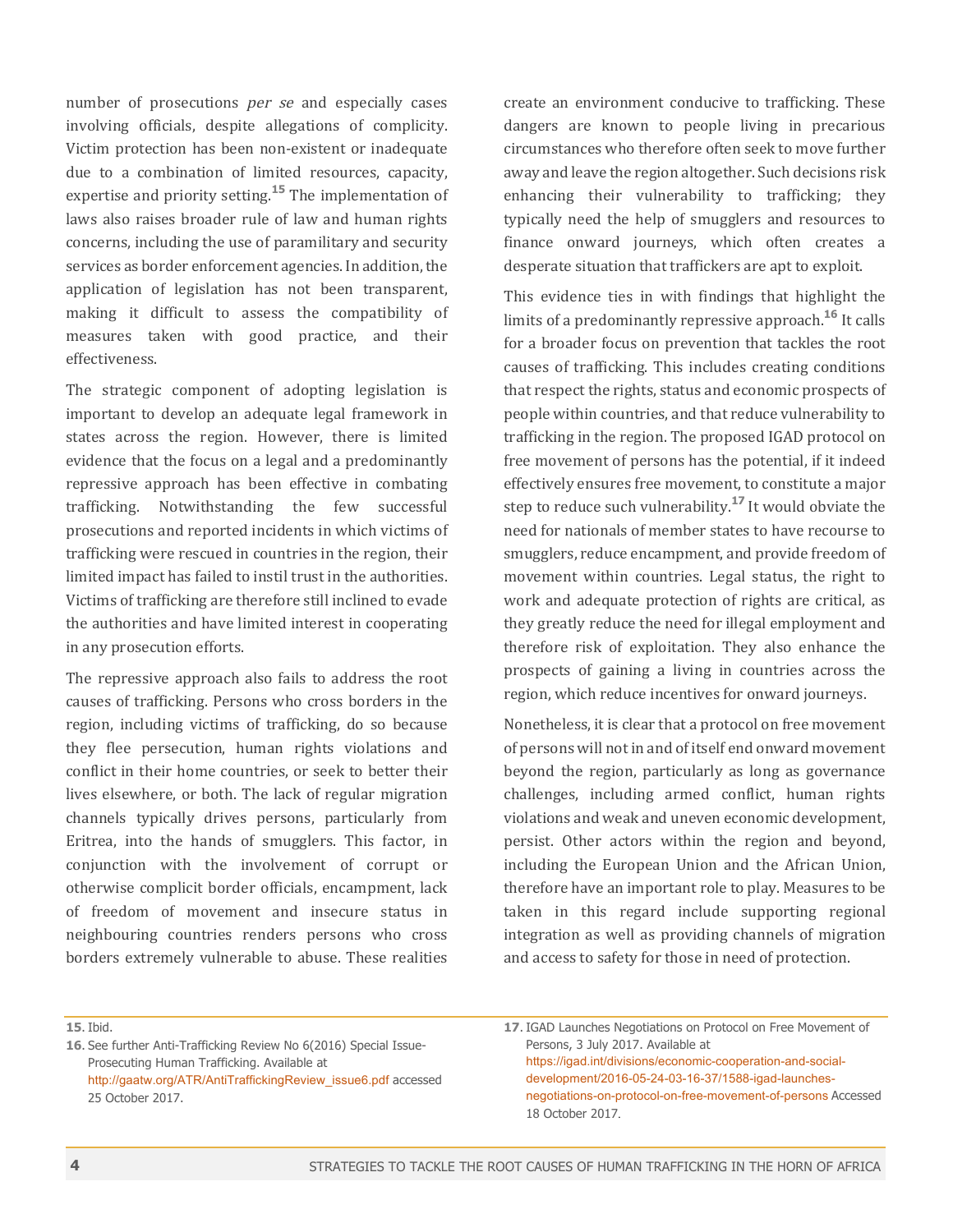number of prosecutions *per se* and especially cases involving officials, despite allegations of complicity. Victim protection has been non-existent or inadequate due to a combination of limited resources, capacity, expertise and priority setting.<sup>15</sup> The implementation of laws also raises broader rule of law and human rights concerns, including the use of paramilitary and security services as border enforcement agencies. In addition, the application of legislation has not been transparent, making it difficult to assess the compatibility of measures taken with good practice, and their effectiveness.

The strategic component of adopting legislation is important to develop an adequate legal framework in states across the region. However, there is limited evidence that the focus on a legal and a predominantly repressive approach has been effective in combating trafficking. Notwithstanding the few successful prosecutions and reported incidents in which victims of trafficking were rescued in countries in the region, their limited impact has failed to instil trust in the authorities. Victims of trafficking are therefore still inclined to evade the authorities and have limited interest in cooperating in any prosecution efforts.

The repressive approach also fails to address the root causes of trafficking. Persons who cross borders in the region, including victims of trafficking, do so because they flee persecution, human rights violations and conflict in their home countries, or seek to better their lives elsewhere, or both. The lack of regular migration channels typically drives persons, particularly from Eritrea, into the hands of smugglers. This factor, in conjunction with the involvement of corrupt or otherwise complicit border officials, encampment, lack of freedom of movement and insecure status in neighbouring countries renders persons who cross borders extremely vulnerable to abuse. These realities

create an environment conducive to trafficking. These dangers are known to people living in precarious circumstances who therefore often seek to move further away and leave the region altogether. Such decisions risk enhancing their vulnerability to trafficking; they typically need the help of smugglers and resources to finance onward journeys, which often creates a desperate situation that traffickers are apt to exploit.

This evidence ties in with findings that highlight the limits of a predominantly repressive approach.<sup>16</sup> It calls for a broader focus on prevention that tackles the root causes of trafficking. This includes creating conditions that respect the rights, status and economic prospects of people within countries, and that reduce vulnerability to trafficking in the region. The proposed IGAD protocol on free movement of persons has the potential, if it indeed effectively ensures free movement, to constitute a major step to reduce such vulnerability.<sup>17</sup> It would obviate the need for nationals of member states to have recourse to smugglers, reduce encampment, and provide freedom of movement within countries. Legal status, the right to work and adequate protection of rights are critical, as they greatly reduce the need for illegal employment and therefore risk of exploitation. They also enhance the prospects of gaining a living in countries across the region, which reduce incentives for onward journeys.

Nonetheless, it is clear that a protocol on free movement of persons will not in and of itself end onward movement beyond the region, particularly as long as governance challenges, including armed conflict, human rights violations and weak and uneven economic development, persist. Other actors within the region and beyond, including the European Union and the African Union, therefore have an important role to play. Measures to be taken in this regard include supporting regional integration as well as providing channels of migration and access to safety for those in need of protection.

**15**. Ibid.

- **16**. See further Anti-Trafficking Review No 6(2016) Special Issue-Prosecuting Human Trafficking. Available at http://gaatw.org/ATR/AntiTraffickingReview\_issue6.pdf accessed 25 October 2017.
- **17**. IGAD Launches Negotiations on Protocol on Free Movement of Persons, 3 July 2017. Available at https://igad.int/divisions/economic-cooperation-and-socialdevelopment/2016-05-24-03-16-37/1588-igad-launchesnegotiations-on-protocol-on-free-movement-of-persons Accessed 18 October 2017.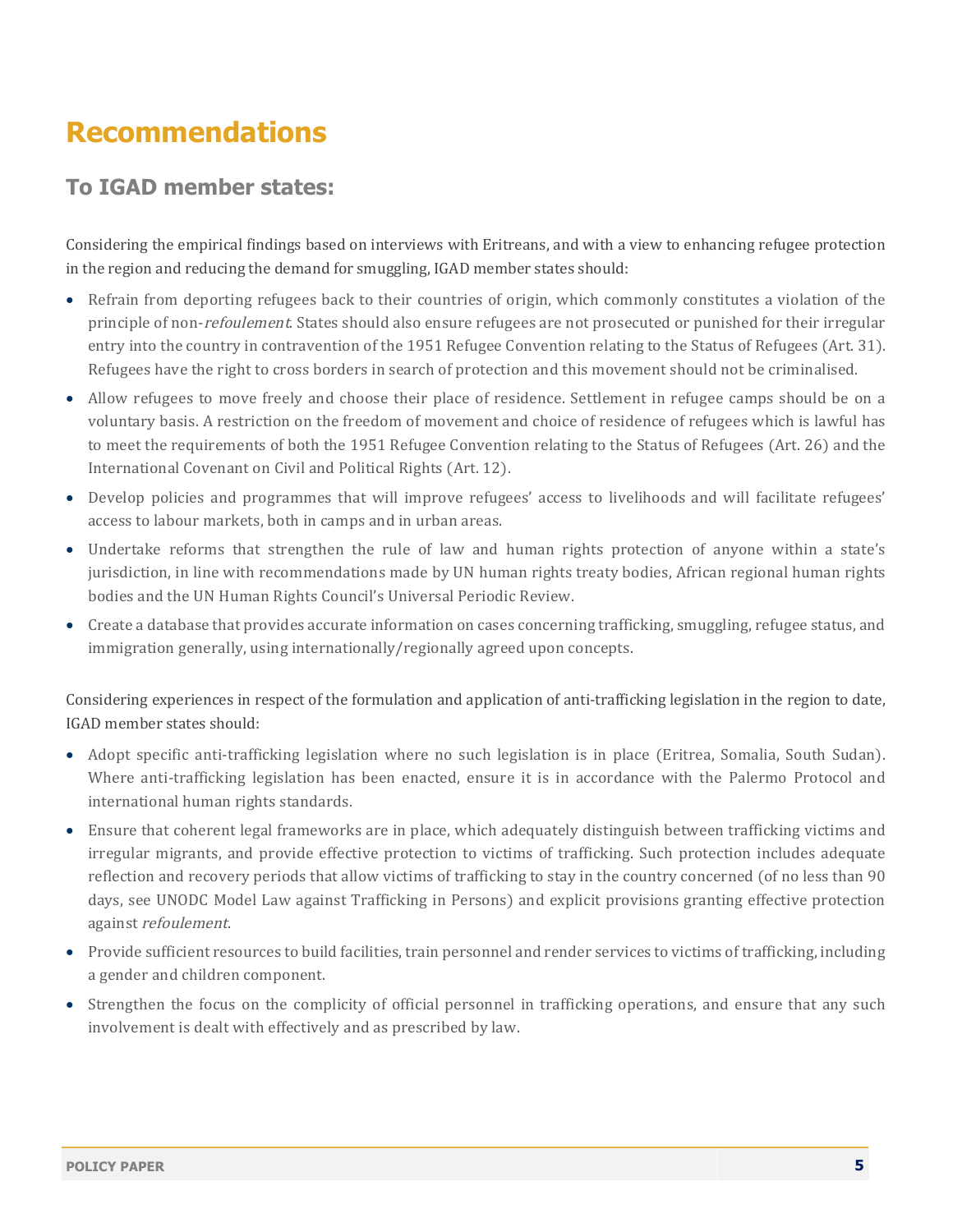## **Recommendations**

#### **To IGAD member states:**

Considering the empirical findings based on interviews with Eritreans, and with a view to enhancing refugee protection in the region and reducing the demand for smuggling, IGAD member states should:

- Refrain from deporting refugees back to their countries of origin, which commonly constitutes a violation of the principle of non-*refoulement*. States should also ensure refugees are not prosecuted or punished for their irregular entry into the country in contravention of the 1951 Refugee Convention relating to the Status of Refugees (Art. 31). Refugees have the right to cross borders in search of protection and this movement should not be criminalised.
- Allow refugees to move freely and choose their place of residence. Settlement in refugee camps should be on a voluntary basis. A restriction on the freedom of movement and choice of residence of refugees which is lawful has to meet the requirements of both the 1951 Refugee Convention relating to the Status of Refugees (Art. 26) and the International Covenant on Civil and Political Rights (Art. 12).
- Develop policies and programmes that will improve refugees' access to livelihoods and will facilitate refugees' access to labour markets, both in camps and in urban areas.
- Undertake reforms that strengthen the rule of law and human rights protection of anyone within a state's jurisdiction, in line with recommendations made by UN human rights treaty bodies, African regional human rights bodies and the UN Human Rights Council's Universal Periodic Review.
- Create a database that provides accurate information on cases concerning trafficking, smuggling, refugee status, and immigration generally, using internationally/regionally agreed upon concepts.

Considering experiences in respect of the formulation and application of anti-trafficking legislation in the region to date, IGAD member states should:

- Adopt specific anti-trafficking legislation where no such legislation is in place (Eritrea, Somalia, South Sudan). Where anti-trafficking legislation has been enacted, ensure it is in accordance with the Palermo Protocol and international human rights standards.
- Ensure that coherent legal frameworks are in place, which adequately distinguish between trafficking victims and irregular migrants, and provide effective protection to victims of trafficking. Such protection includes adequate reflection and recovery periods that allow victims of trafficking to stay in the country concerned (of no less than 90 days, see UNODC Model Law against Trafficking in Persons) and explicit provisions granting effective protection against refoulement.
- Provide sufficient resources to build facilities, train personnel and render services to victims of trafficking, including a gender and children component.
- Strengthen the focus on the complicity of official personnel in trafficking operations, and ensure that any such involvement is dealt with effectively and as prescribed by law.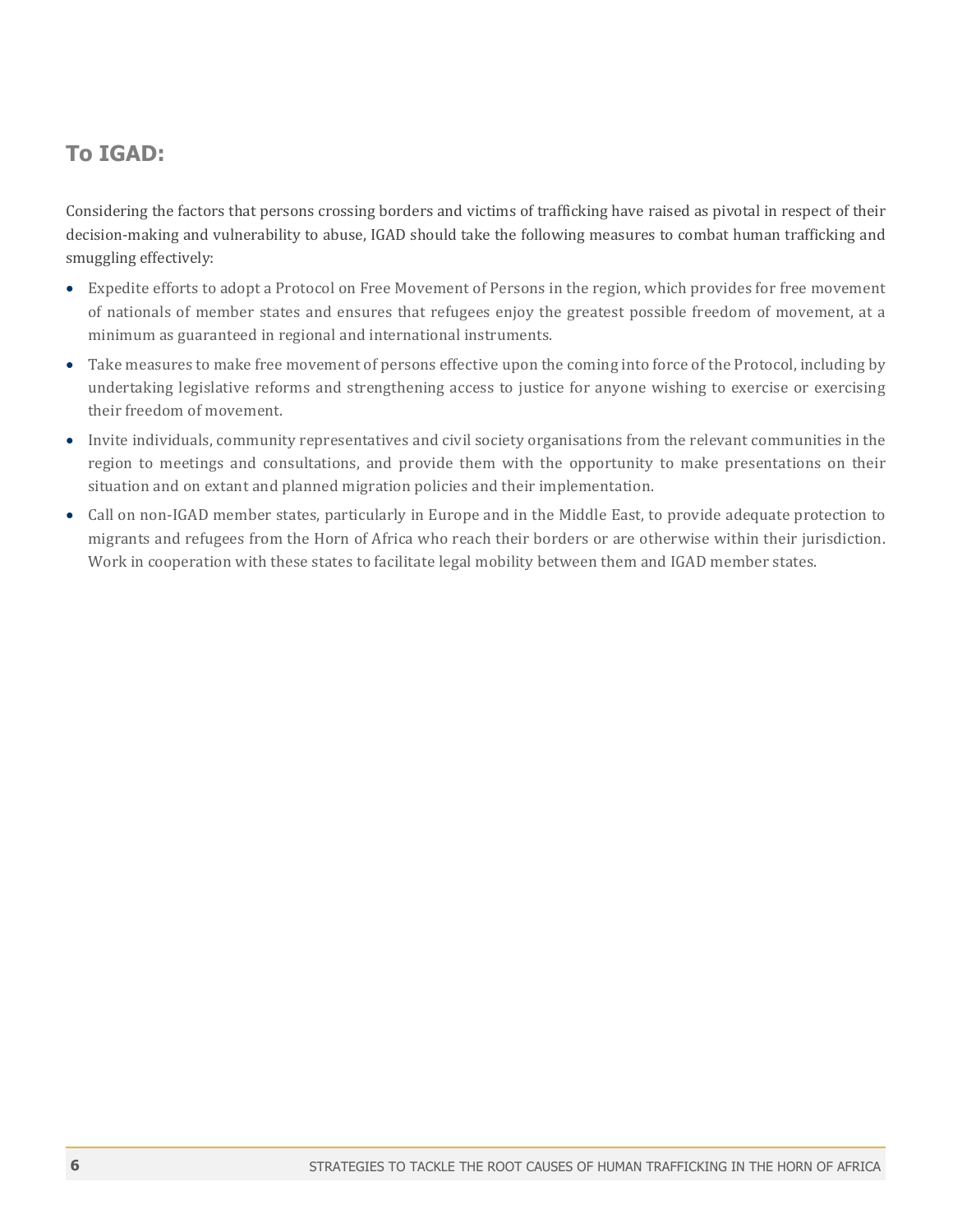#### **To IGAD:**

Considering the factors that persons crossing borders and victims of trafficking have raised as pivotal in respect of their decision-making and vulnerability to abuse, IGAD should take the following measures to combat human trafficking and smuggling effectively:

- Expedite efforts to adopt a Protocol on Free Movement of Persons in the region, which provides for free movement of nationals of member states and ensures that refugees enjoy the greatest possible freedom of movement, at a minimum as guaranteed in regional and international instruments.
- Take measures to make free movement of persons effective upon the coming into force of the Protocol, including by undertaking legislative reforms and strengthening access to justice for anyone wishing to exercise or exercising their freedom of movement.
- Invite individuals, community representatives and civil society organisations from the relevant communities in the region to meetings and consultations, and provide them with the opportunity to make presentations on their situation and on extant and planned migration policies and their implementation.
- Call on non-IGAD member states, particularly in Europe and in the Middle East, to provide adequate protection to migrants and refugees from the Horn of Africa who reach their borders or are otherwise within their jurisdiction. Work in cooperation with these states to facilitate legal mobility between them and IGAD member states.